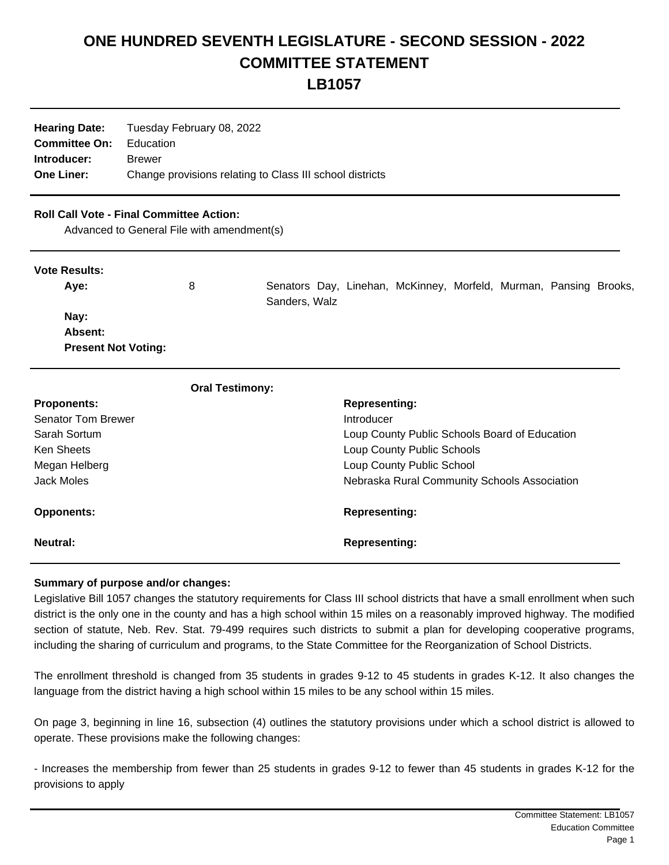## **ONE HUNDRED SEVENTH LEGISLATURE - SECOND SESSION - 2022 COMMITTEE STATEMENT LB1057**

| <b>Hearing Date:</b> | Tuesday February 08, 2022                                |
|----------------------|----------------------------------------------------------|
| <b>Committee On:</b> | Education                                                |
| Introducer:          | <b>Brewer</b>                                            |
| <b>One Liner:</b>    | Change provisions relating to Class III school districts |

## **Roll Call Vote - Final Committee Action:**

Advanced to General File with amendment(s)

| <b>Vote Results:</b>       |                        |               |                      |                                                                   |  |  |
|----------------------------|------------------------|---------------|----------------------|-------------------------------------------------------------------|--|--|
| Aye:                       | 8                      | Sanders, Walz |                      | Senators Day, Linehan, McKinney, Morfeld, Murman, Pansing Brooks, |  |  |
| Nay:                       |                        |               |                      |                                                                   |  |  |
| Absent:                    |                        |               |                      |                                                                   |  |  |
| <b>Present Not Voting:</b> |                        |               |                      |                                                                   |  |  |
|                            | <b>Oral Testimony:</b> |               |                      |                                                                   |  |  |
| <b>Proponents:</b>         |                        |               | <b>Representing:</b> |                                                                   |  |  |
| <b>Senator Tom Brewer</b>  |                        |               | Introducer           |                                                                   |  |  |
| Sarah Sortum               |                        |               |                      | Loup County Public Schools Board of Education                     |  |  |

| Ken Sheets        | Loup County Public Schools                   |
|-------------------|----------------------------------------------|
| Megan Helberg     | Loup County Public School                    |
| Jack Moles        | Nebraska Rural Community Schools Association |
|                   |                                              |
| <b>Opponents:</b> | <b>Representing:</b>                         |

## **Summary of purpose and/or changes:**

Legislative Bill 1057 changes the statutory requirements for Class III school districts that have a small enrollment when such district is the only one in the county and has a high school within 15 miles on a reasonably improved highway. The modified section of statute, Neb. Rev. Stat. 79-499 requires such districts to submit a plan for developing cooperative programs, including the sharing of curriculum and programs, to the State Committee for the Reorganization of School Districts.

The enrollment threshold is changed from 35 students in grades 9-12 to 45 students in grades K-12. It also changes the language from the district having a high school within 15 miles to be any school within 15 miles.

On page 3, beginning in line 16, subsection (4) outlines the statutory provisions under which a school district is allowed to operate. These provisions make the following changes:

- Increases the membership from fewer than 25 students in grades 9-12 to fewer than 45 students in grades K-12 for the provisions to apply